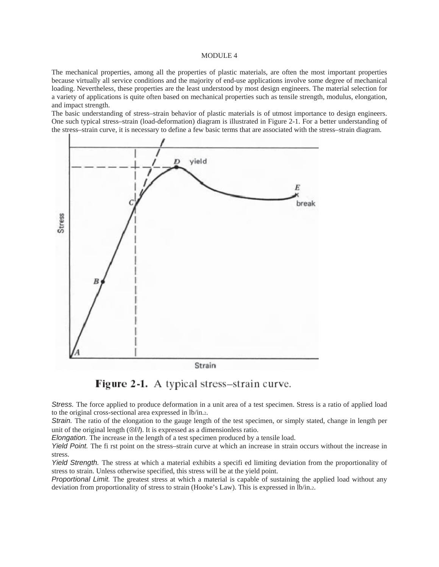# MODULE 4

The mechanical properties, among all the properties of plastic materials, are often the most important properties because virtually all service conditions and the majority of end-use applications involve some degree of mechanical loading. Nevertheless, these properties are the least understood by most design engineers. The material selection for a variety of applications is quite often based on mechanical properties such as tensile strength, modulus, elongation, and impact strength.

The basic understanding of stress–strain behavior of plastic materials is of utmost importance to design engineers. One such typical stress–strain (load-deformation) diagram is illustrated in Figure 2-1. For a better understanding of the stress–strain curve, it is necessary to define a few basic terms that are associated with the stress–strain diagram.





*Stress.* The force applied to produce deformation in a unit area of a test specimen. Stress is a ratio of applied load to the original cross-sectional area expressed in lb/in.2.

*Strain.* The ratio of the elongation to the gauge length of the test specimen, or simply stated, change in length per unit of the original length (⊗*l*/*l*). It is expressed as a dimensionless ratio.

*Elongation.* The increase in the length of a test specimen produced by a tensile load.

*Yield Point.* The fi rst point on the stress–strain curve at which an increase in strain occurs without the increase in stress.

*Yield Strength.* The stress at which a material exhibits a specifi ed limiting deviation from the proportionality of stress to strain. Unless otherwise specified, this stress will be at the yield point.

*Proportional Limit.* The greatest stress at which a material is capable of sustaining the applied load without any deviation from proportionality of stress to strain (Hooke's Law). This is expressed in lb/in.2.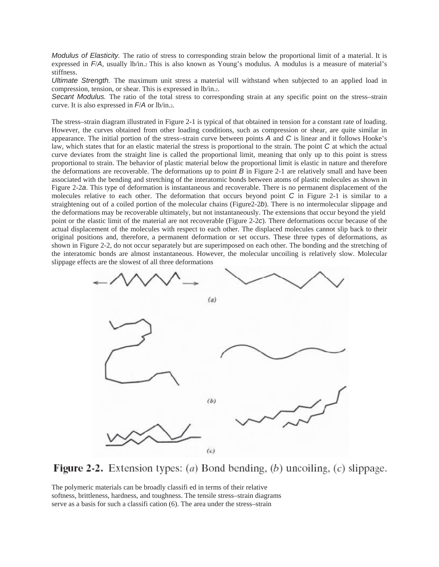*Modulus of Elasticity.* The ratio of stress to corresponding strain below the proportional limit of a material. It is expressed in *F*/*A*, usually lb/in.2 This is also known as Young's modulus. A modulus is a measure of material's stiffness.

*Ultimate Strength.* The maximum unit stress a material will withstand when subjected to an applied load in compression, tension, or shear. This is expressed in lb/in.2.

*Secant Modulus.* The ratio of the total stress to corresponding strain at any specific point on the stress–strain curve. It is also expressed in *F*/*A* or lb/in.2.

The stress–strain diagram illustrated in Figure 2-1 is typical of that obtained in tension for a constant rate of loading. However, the curves obtained from other loading conditions, such as compression or shear, are quite similar in appearance. The initial portion of the stress–strain curve between points *A* and *C* is linear and it follows Hooke's law, which states that for an elastic material the stress is proportional to the strain. The point *C* at which the actual curve deviates from the straight line is called the proportional limit, meaning that only up to this point is stress proportional to strain. The behavior of plastic material below the proportional limit is elastic in nature and therefore the deformations are recoverable. The deformations up to point *B* in Figure 2-1 are relatively small and have been associated with the bending and stretching of the interatomic bonds between atoms of plastic molecules as shown in Figure 2-2*a*. This type of deformation is instantaneous and recoverable. There is no permanent displacement of the molecules relative to each other. The deformation that occurs beyond point *C* in Figure 2-1 is similar to a straightening out of a coiled portion of the molecular chains (Figure2-2*b*). There is no intermolecular slippage and the deformations may be recoverable ultimately, but not instantaneously. The extensions that occur beyond the yield point or the elastic limit of the material are not recoverable (Figure 2-2*c*). There deformations occur because of the actual displacement of the molecules with respect to each other. The displaced molecules cannot slip back to their original positions and, therefore, a permanent deformation or set occurs. These three types of deformations, as shown in Figure 2-2, do not occur separately but are superimposed on each other. The bonding and the stretching of the interatomic bonds are almost instantaneous. However, the molecular uncoiling is relatively slow. Molecular slippage effects are the slowest of all three deformations



**Figure 2-2.** Extension types: (a) Bond bending, (b) uncoiling, (c) slippage.

The polymeric materials can be broadly classifi ed in terms of their relative softness, brittleness, hardness, and toughness. The tensile stress–strain diagrams serve as a basis for such a classifi cation (6). The area under the stress–strain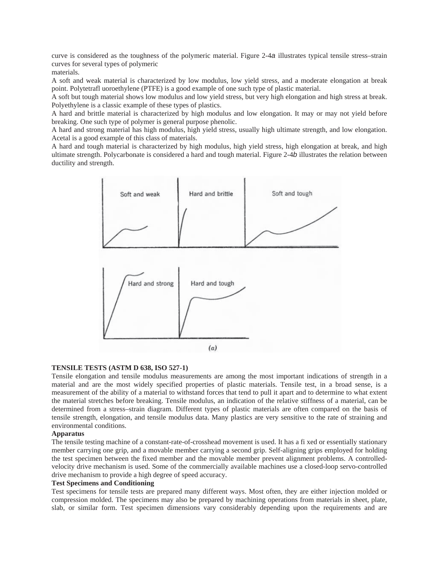curve is considered as the toughness of the polymeric material. Figure 2-4*a* illustrates typical tensile stress–strain curves for several types of polymeric

materials.

A soft and weak material is characterized by low modulus, low yield stress, and a moderate elongation at break point. Polytetrafl uoroethylene (PTFE) is a good example of one such type of plastic material.

A soft but tough material shows low modulus and low yield stress, but very high elongation and high stress at break. Polyethylene is a classic example of these types of plastics.

A hard and brittle material is characterized by high modulus and low elongation. It may or may not yield before breaking. One such type of polymer is general purpose phenolic.

A hard and strong material has high modulus, high yield stress, usually high ultimate strength, and low elongation. Acetal is a good example of this class of materials.

A hard and tough material is characterized by high modulus, high yield stress, high elongation at break, and high ultimate strength. Polycarbonate is considered a hard and tough material. Figure 2-4*b* illustrates the relation between ductility and strength.



# **TENSILE TESTS (ASTM D 638, ISO 527-1)**

Tensile elongation and tensile modulus measurements are among the most important indications of strength in a material and are the most widely specified properties of plastic materials. Tensile test, in a broad sense, is a measurement of the ability of a material to withstand forces that tend to pull it apart and to determine to what extent the material stretches before breaking. Tensile modulus, an indication of the relative stiffness of a material, can be determined from a stress–strain diagram. Different types of plastic materials are often compared on the basis of tensile strength, elongation, and tensile modulus data. Many plastics are very sensitive to the rate of straining and environmental conditions.

# **Apparatus**

The tensile testing machine of a constant-rate-of-crosshead movement is used. It has a fi xed or essentially stationary member carrying one grip, and a movable member carrying a second grip. Self-aligning grips employed for holding the test specimen between the fixed member and the movable member prevent alignment problems. A controlledvelocity drive mechanism is used. Some of the commercially available machines use a closed-loop servo-controlled drive mechanism to provide a high degree of speed accuracy.

# **Test Specimens and Conditioning**

Test specimens for tensile tests are prepared many different ways. Most often, they are either injection molded or compression molded. The specimens may also be prepared by machining operations from materials in sheet, plate, slab, or similar form. Test specimen dimensions vary considerably depending upon the requirements and are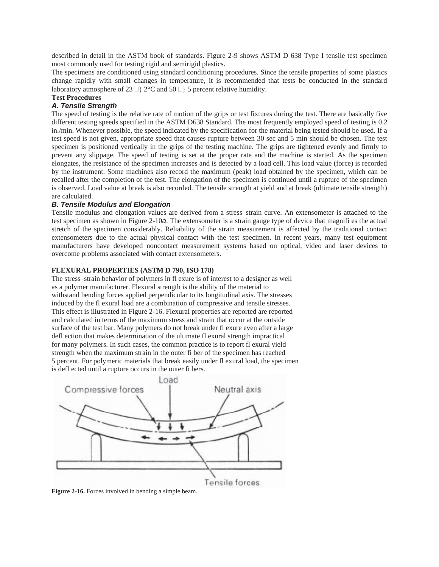described in detail in the ASTM book of standards. Figure 2-9 shows ASTM D 638 Type I tensile test specimen most commonly used for testing rigid and semirigid plastics.

The specimens are conditioned using standard conditioning procedures. Since the tensile properties of some plastics change rapidly with small changes in temperature, it is recommended that tests be conducted in the standard laboratory atmosphere of 23  $\Box$ } 2°C and 50  $\Box$ } 5 percent relative humidity.

# **Test Procedures**

# *A. Tensile Strength*

The speed of testing is the relative rate of motion of the grips or test fixtures during the test. There are basically five different testing speeds specified in the ASTM D638 Standard. The most frequently employed speed of testing is 0.2 in./min. Whenever possible, the speed indicated by the specification for the material being tested should be used. If a test speed is not given, appropriate speed that causes rupture between 30 sec and 5 min should be chosen. The test specimen is positioned vertically in the grips of the testing machine. The grips are tightened evenly and firmly to prevent any slippage. The speed of testing is set at the proper rate and the machine is started. As the specimen elongates, the resistance of the specimen increases and is detected by a load cell. This load value (force) is recorded by the instrument. Some machines also record the maximum (peak) load obtained by the specimen, which can be recalled after the completion of the test. The elongation of the specimen is continued until a rupture of the specimen is observed. Load value at break is also recorded. The tensile strength at yield and at break (ultimate tensile strength) are calculated.

# *B. Tensile Modulus and Elongation*

Tensile modulus and elongation values are derived from a stress–strain curve. An extensometer is attached to the test specimen as shown in Figure 2-10*a*. The extensometer is a strain gauge type of device that magnifi es the actual stretch of the specimen considerably. Reliability of the strain measurement is affected by the traditional contact extensometers due to the actual physical contact with the test specimen. In recent years, many test equipment manufacturers have developed noncontact measurement systems based on optical, video and laser devices to overcome problems associated with contact extensometers.

# **FLEXURAL PROPERTIES (ASTM D 790, ISO 178)**

The stress–strain behavior of polymers in fl exure is of interest to a designer as well as a polymer manufacturer. Flexural strength is the ability of the material to withstand bending forces applied perpendicular to its longitudinal axis. The stresses induced by the fl exural load are a combination of compressive and tensile stresses. This effect is illustrated in Figure 2-16. Flexural properties are reported are reported and calculated in terms of the maximum stress and strain that occur at the outside surface of the test bar. Many polymers do not break under fl exure even after a large defl ection that makes determination of the ultimate fl exural strength impractical for many polymers. In such cases, the common practice is to report fl exural yield strength when the maximum strain in the outer fi ber of the specimen has reached 5 percent. For polymeric materials that break easily under fl exural load, the specimen is defl ected until a rupture occurs in the outer fi bers.

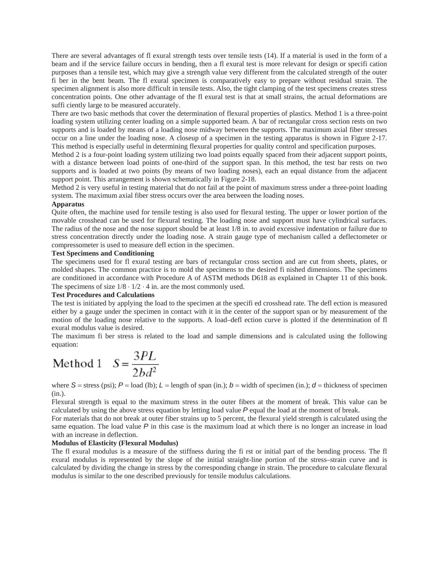There are several advantages of fl exural strength tests over tensile tests (14). If a material is used in the form of a beam and if the service failure occurs in bending, then a fl exural test is more relevant for design or specifi cation purposes than a tensile test, which may give a strength value very different from the calculated strength of the outer fi ber in the bent beam. The fl exural specimen is comparatively easy to prepare without residual strain. The specimen alignment is also more difficult in tensile tests. Also, the tight clamping of the test specimens creates stress concentration points. One other advantage of the fl exural test is that at small strains, the actual deformations are suffi ciently large to be measured accurately.

There are two basic methods that cover the determination of flexural properties of plastics. Method 1 is a three-point loading system utilizing center loading on a simple supported beam. A bar of rectangular cross section rests on two supports and is loaded by means of a loading nose midway between the supports. The maximum axial fiber stresses occur on a line under the loading nose. A closeup of a specimen in the testing apparatus is shown in Figure 2-17. This method is especially useful in determining flexural properties for quality control and specification purposes.

Method 2 is a four-point loading system utilizing two load points equally spaced from their adjacent support points, with a distance between load points of one-third of the support span. In this method, the test bar rests on two supports and is loaded at two points (by means of two loading noses), each an equal distance from the adjacent support point. This arrangement is shown schematically in Figure 2-18.

Method 2 is very useful in testing material that do not fail at the point of maximum stress under a three-point loading system. The maximum axial fiber stress occurs over the area between the loading noses.

## **Apparatus**

Quite often, the machine used for tensile testing is also used for flexural testing. The upper or lower portion of the movable crosshead can be used for flexural testing. The loading nose and support must have cylindrical surfaces. The radius of the nose and the nose support should be at least  $1/\overline{8}$  in. to avoid excessive indentation or failure due to stress concentration directly under the loading nose. A strain gauge type of mechanism called a deflectometer or compressometer is used to measure defl ection in the specimen.

# **Test Specimens and Conditioning**

The specimens used for fl exural testing are bars of rectangular cross section and are cut from sheets, plates, or molded shapes. The common practice is to mold the specimens to the desired fi nished dimensions. The specimens are conditioned in accordance with Procedure A of ASTM methods D618 as explained in Chapter 11 of this book. The specimens of size  $1/8 \cdot 1/2 \cdot 4$  in. are the most commonly used.

# **Test Procedures and Calculations**

The test is initiated by applying the load to the specimen at the specifi ed crosshead rate. The defl ection is measured either by a gauge under the specimen in contact with it in the center of the support span or by measurement of the motion of the loading nose relative to the supports. A load–defl ection curve is plotted if the determination of fl exural modulus value is desired.

The maximum fi ber stress is related to the load and sample dimensions and is calculated using the following equation:

Method 1 
$$
S = \frac{3PL}{2bd^2}
$$

where  $S$  = stress (psi);  $P$  = load (lb);  $L$  = length of span (in.);  $b$  = width of specimen (in.);  $d$  = thickness of specimen (in.).

Flexural strength is equal to the maximum stress in the outer fibers at the moment of break. This value can be calculated by using the above stress equation by letting load value *P* equal the load at the moment of break.

For materials that do not break at outer fiber strains up to 5 percent, the flexural yield strength is calculated using the same equation. The load value *P* in this case is the maximum load at which there is no longer an increase in load with an increase in deflection.

# **Modulus of Elasticity (Flexural Modulus)**

The fl exural modulus is a measure of the stiffness during the fi rst or initial part of the bending process. The fl exural modulus is represented by the slope of the initial straight-line portion of the stress–strain curve and is calculated by dividing the change in stress by the corresponding change in strain. The procedure to calculate flexural modulus is similar to the one described previously for tensile modulus calculations.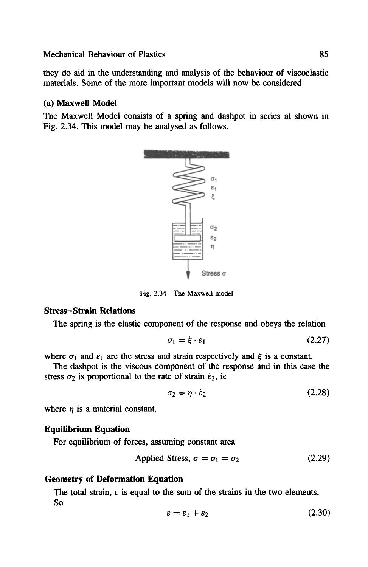# Mechanical Behaviour of Plastics 85

they do aid in the understanding and analysis of the behaviour of viscoelastic materials. Some of the more important models will now be considered.

# **(a) Maxwell Model**

The Maxwell Model consists of a spring and dashpot in series at shown in Fig. 2.34. This model may be analysed as follows.



Fig. 2.34 The Maxwell model

# **Stress-Strain Relations**

The spring is the elastic component of the response and obeys the relation

$$
\sigma_1 = \xi \cdot \varepsilon_1 \tag{2.27}
$$

where  $\sigma_1$  and  $\varepsilon_1$  are the stress and strain respectively and  $\xi$  is a constant.

The dashpot is the viscous component of the response and in this case the stress  $\sigma_2$  is proportional to the rate of strain  $\dot{\epsilon}_2$ , ie

$$
\sigma_2 = \eta \cdot \dot{\varepsilon}_2 \tag{2.28}
$$

where  $\eta$  is a material constant.

### **Equilibrium Equation**

For equilibrium of forces, assuming constant area

$$
Applied Stress, \sigma = \sigma_1 = \sigma_2 \tag{2.29}
$$

# **Geometry of Deformation Equation**

The total strain,  $\varepsilon$  is equal to the sum of the strains in the two elements. So

$$
\varepsilon = \varepsilon_1 + \varepsilon_2 \tag{2.30}
$$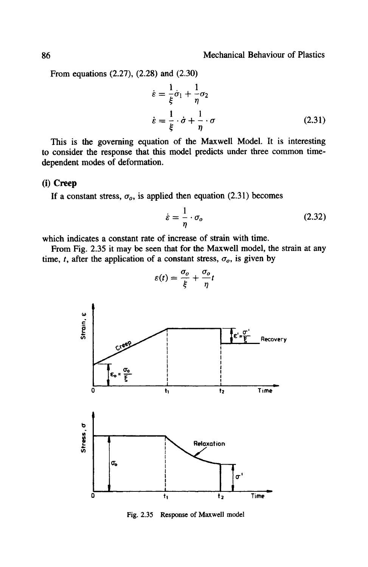From equations (2.27), (2.28) and (2.30)

$$
\dot{\varepsilon} = \frac{1}{\xi}\dot{\sigma}_1 + \frac{1}{\eta}\sigma_2
$$
  

$$
\dot{\varepsilon} = \frac{1}{\xi}\cdot\dot{\sigma} + \frac{1}{\eta}\cdot\sigma
$$
 (2.31)

This is the governing equation of the Maxwell Model. It is interesting to consider the response that this model predicts under three common timedependent modes of deformation.

#### (i) Creep

If a constant stress,  $\sigma_o$ , is applied then equation (2.31) becomes

$$
\dot{\varepsilon} = \frac{1}{\eta} \cdot \sigma_o \tag{2.32}
$$

which indicates a constant rate of increase of strain with time.

From Fig. 2.35 it may be seen that for the Maxwell model, the strain at any time, t, after the application of a constant stress,  $\sigma_o$ , is given by



 $\varepsilon(t) = \frac{\sigma_o}{\xi} + \frac{\sigma_o}{\eta}t$ 

Fig. 2.35 Response of Maxwell model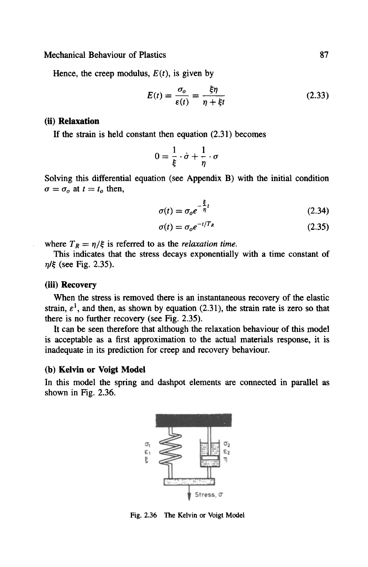Mechanical Behaviour of Plastics 87

Hence, the creep modulus,  $E(t)$ , is given by

$$
E(t) = \frac{\sigma_o}{\varepsilon(t)} = \frac{\xi \eta}{\eta + \xi t}
$$
 (2.33)

#### **(ii) Relaxation**

If the strain is held constant then equation (2.31) becomes

$$
0=\frac{1}{\xi}\cdot\dot{\sigma}+\frac{1}{\eta}\cdot\sigma
$$

Solving this differential equation (see Appendix B) with the initial condition  $\sigma = \sigma_o$  at  $t = t_o$  then,

$$
\sigma(t) = \sigma_o e^{-\frac{\xi}{\eta}t} \tag{2.34}
$$

$$
\sigma(t) = \sigma_o e^{-t/T_R} \tag{2.35}
$$

where  $T_R = \eta/\xi$  is referred to as the *relaxation time*.

This indicates that the stress decays exponentially with a time constant of  $n/\xi$  (see Fig. 2.35).

### **(iii) Recovery**

When the stress is removed there is an instantaneous recovery of the elastic strain,  $\varepsilon^1$ , and then, as shown by equation (2.31), the strain rate is zero so that there is no further recovery (see Fig. 2.35).

It can be seen therefore that although the relaxation behaviour of this model is acceptable as a first approximation to the actual materials response, it is inadequate in its prediction for creep and recovery behaviour.

# **(b) Kelvin or Voigt** Model

In this model the spring and dashpot elements are connected in parallel as shown in Fig. 2.36.



Fig. 2.36 The Kelvin or Voigt Model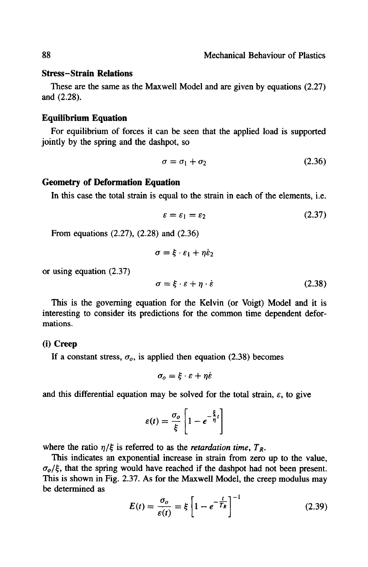# **Stress-Strain Relations**

These are the same as the Maxwell Model and are given by equations (2.27) and (2.28).

#### **Equilibrium Equation**

For equilibrium of forces it can be seen that the applied load is supported jointly by the spring and the dashpot, so

$$
\sigma = \sigma_1 + \sigma_2 \tag{2.36}
$$

# **Geometry of Deformation Equation**

In this case the total strain is equal to the strain in each of the elements, i.e.

$$
\varepsilon = \varepsilon_1 = \varepsilon_2 \tag{2.37}
$$

From equations (2.27), (2.28) and (2.36)

$$
\sigma = \xi \cdot \varepsilon_1 + \eta \dot{\varepsilon}_2
$$

or using equation (2.37)

$$
\sigma = \xi \cdot \varepsilon + \eta \cdot \dot{\varepsilon} \tag{2.38}
$$

This is the governing equation for the Kelvin (or Voigt) Model and it is interesting to consider its predictions for the common time dependent deformations.

#### **(i) Creep**

If a constant stress,  $\sigma_o$ , is applied then equation (2.38) becomes

$$
\sigma_o = \xi \cdot \varepsilon + \eta \varepsilon
$$

and this differential equation may be solved for the total strain,  $\varepsilon$ , to give

$$
\varepsilon(t) = \frac{\sigma_o}{\xi} \left[ 1 - e^{-\frac{\xi}{\eta}t} \right]
$$

where the ratio  $\eta/\xi$  is referred to as the *retardation time*,  $T_R$ .

This indicates an exponential increase in strain from zero up to the value,  $\sigma$ <sub>o</sub>/ $\xi$ , that the spring would have reached if the dashpot had not been present. This is shown in Fig. 2.37. As for the Maxwell Model, the creep modulus may be determined as

$$
E(t) = \frac{\sigma_o}{\varepsilon(t)} = \xi \left[ 1 - e^{-\frac{t}{T_R}} \right]^{-1}
$$
 (2.39)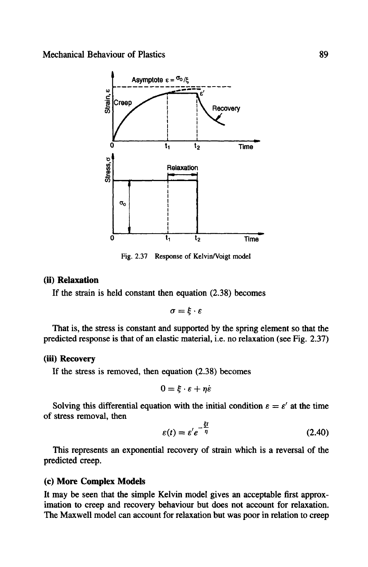Mechanical Behaviour of Plastics



Fig. 2.37 Response of Kelvin/Voigt model

# **(ii) Relaxation**

If the strain is held constant then equation (2.38) becomes

$$
\sigma = \xi \cdot \varepsilon
$$

That is, the stress is constant and supported by the spring element so that the predicted response is that of an elastic material, i.e. no relaxation (see Fig. 2.37)

# **(iii) Recovery**

If the stress is removed, then equation (2.38) becomes

$$
0=\xi\cdot\varepsilon+\eta\dot{\varepsilon}
$$

Solving this differential equation with the initial condition  $\varepsilon = \varepsilon'$  at the time of stress removal, then

$$
\varepsilon(t) = \varepsilon' e^{-\frac{\xi t}{\eta}}
$$
 (2.40)

This represents an exponential recovery of strain which is a reversal of the predicted creep.

### **(c) More Complex Models**

It may be seen that the simple Kelvin model gives an acceptable first approximation to creep and recovery behaviour but does not account for relaxation. The Maxwell model can account for relaxation but was poor in relation to creep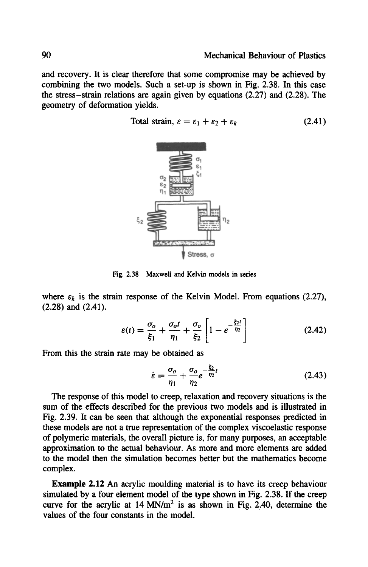and recovery. It is clear therefore that some compromise may be achieved by combining the two models. Such a set-up is shown in Fig. 2.38. In this case the stress-strain relations are again given by equations (2.27) and (2.28). The geometry of deformation yields.

Total strain,  $\varepsilon = \varepsilon_1 + \varepsilon_2 + \varepsilon_k$  (2.41)



Fig. 2.38 Maxwell and Kelvin models in series

where  $\varepsilon_k$  is the strain response of the Kelvin Model. From equations (2.27), (2.28) and (2.41).

$$
\varepsilon(t) = \frac{\sigma_o}{\xi_1} + \frac{\sigma_o t}{\eta_1} + \frac{\sigma_o}{\xi_2} \left[ 1 - e^{-\frac{\xi_2 t}{\eta_2}} \right]
$$
 (2.42)

From this the strain rate may be obtained as

$$
\dot{\varepsilon} = \frac{\sigma_o}{\eta_1} + \frac{\sigma_o}{\eta_2} e^{-\frac{\xi_2}{\eta_2}t} \tag{2.43}
$$

The response of this model to creep, relaxation and recovery situations is the sum of the effects described for the previous two models and is illustrated in Fig. 2.39. It can be seen that although the exponential responses predicted in these models are not a true representation of the complex viscoelastic response of polymeric materials, the overall picture is, for many purposes, an acceptable approximation to the actual behaviour. As more and more elements are added to the model then the simulation becomes better but the mathematics become complex.

**Example** 2.12 An acrylic moulding material is to have its creep behaviour simulated by a four element model of the type shown in Fig. 2.38. If the creep curve for the acrylic at  $14$  MN/m<sup>2</sup> is as shown in Fig. 2.40, determine the values of the four constants in the model.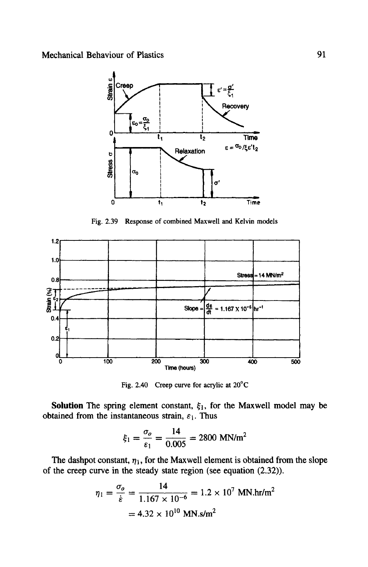

Fig. 2.39 Response of combined Maxwell and Kelvin models



Fig. 2.40 Creep curve for acrylic at  $20^{\circ}$ C

Solution The spring element constant,  $\xi_1$ , for the Maxwell model may be obtained from the instantaneous strain,  $\varepsilon_1$ . Thus

$$
\xi_1 = \frac{\sigma_o}{\varepsilon_1} = \frac{14}{0.005} = 2800 \text{ MN/m}^2
$$

 $\overline{a}$ 

The dashpot constant,  $\eta_1$ , for the Maxwell element is obtained from the slope of the creep curve in the steady state region (see equation (2.32)).

$$
\eta_1 = \frac{\sigma_o}{\dot{\varepsilon}} = \frac{14}{1.167 \times 10^{-6}} = 1.2 \times 10^7 \text{ MN}.\text{hr/m}^2
$$

$$
= 4.32 \times 10^{10} \text{ MN}.\text{s/m}^2
$$